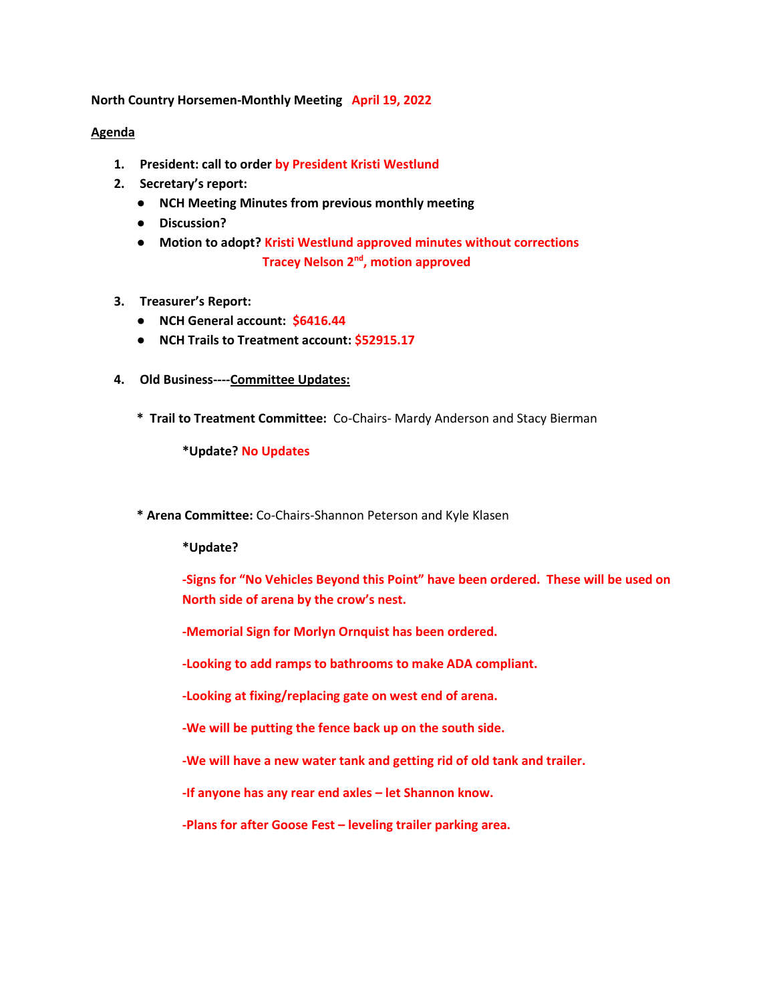**North Country Horsemen-Monthly Meeting April 19, 2022**

## **Agenda**

- **1. President: call to order by President Kristi Westlund**
- **2. Secretary's report:** 
	- **NCH Meeting Minutes from previous monthly meeting**
	- **Discussion?**
	- **Motion to adopt? Kristi Westlund approved minutes without corrections Tracey Nelson 2<sup>nd</sup>, motion approved**
- **3. Treasurer's Report:**
	- **NCH General account: \$6416.44**
	- **NCH Trails to Treatment account: \$52915.17**
- **4. Old Business----Committee Updates:**
	- **\* Trail to Treatment Committee:** Co-Chairs- Mardy Anderson and Stacy Bierman

**\*Update? No Updates**

**\* Arena Committee:** Co-Chairs-Shannon Peterson and Kyle Klasen

**\*Update?** 

**-Signs for "No Vehicles Beyond this Point" have been ordered. These will be used on North side of arena by the crow's nest.**

**-Memorial Sign for Morlyn Ornquist has been ordered.**

**-Looking to add ramps to bathrooms to make ADA compliant.**

**-Looking at fixing/replacing gate on west end of arena.**

**-We will be putting the fence back up on the south side.**

**-We will have a new water tank and getting rid of old tank and trailer.**

**-If anyone has any rear end axles – let Shannon know.**

**-Plans for after Goose Fest – leveling trailer parking area.**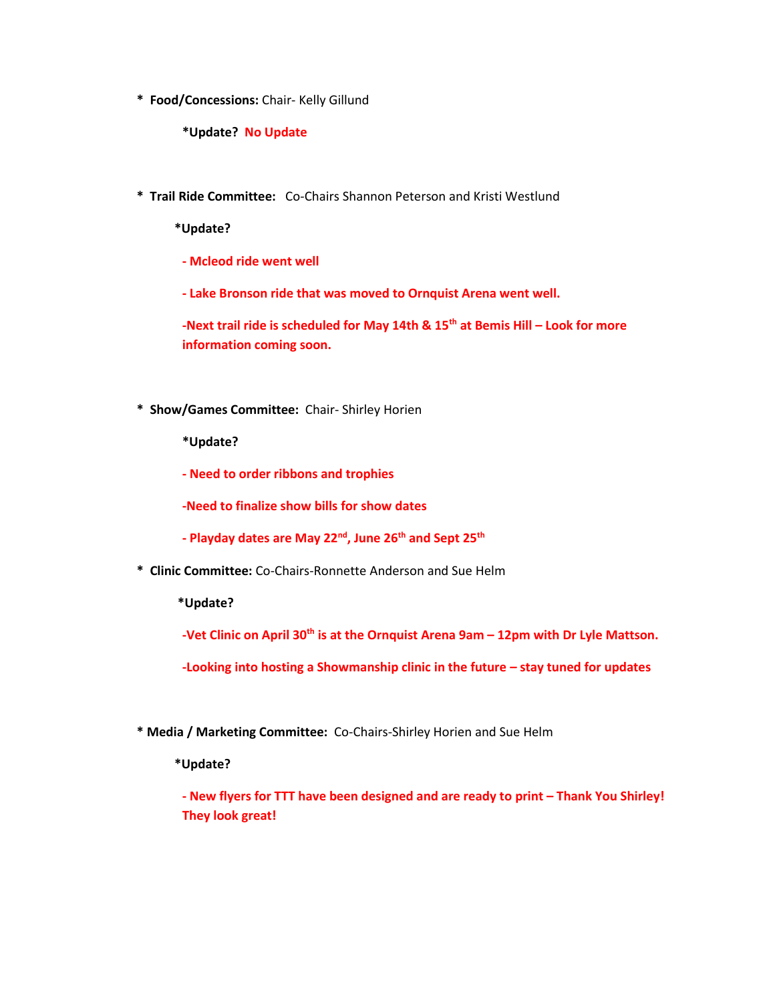**\* Food/Concessions:** Chair- Kelly Gillund

**\*Update? No Update**

**\* Trail Ride Committee:** Co-Chairs Shannon Peterson and Kristi Westlund

 **\*Update?** 

- **- Mcleod ride went well**
- **- Lake Bronson ride that was moved to Ornquist Arena went well.**

**-Next trail ride is scheduled for May 14th & 15th at Bemis Hill – Look for more information coming soon.**

**\* Show/Games Committee:** Chair- Shirley Horien

**\*Update?** 

**- Need to order ribbons and trophies**

**-Need to finalize show bills for show dates**

- **- Playday dates are May 22nd, June 26th and Sept 25th**
- **\* Clinic Committee:** Co-Chairs-Ronnette Anderson and Sue Helm

 **\*Update?**

**-Vet Clinic on April 30th is at the Ornquist Arena 9am – 12pm with Dr Lyle Mattson.**

**-Looking into hosting a Showmanship clinic in the future – stay tuned for updates**

**\* Media / Marketing Committee:** Co-Chairs-Shirley Horien and Sue Helm

 **\*Update?**

**- New flyers for TTT have been designed and are ready to print – Thank You Shirley! They look great!**